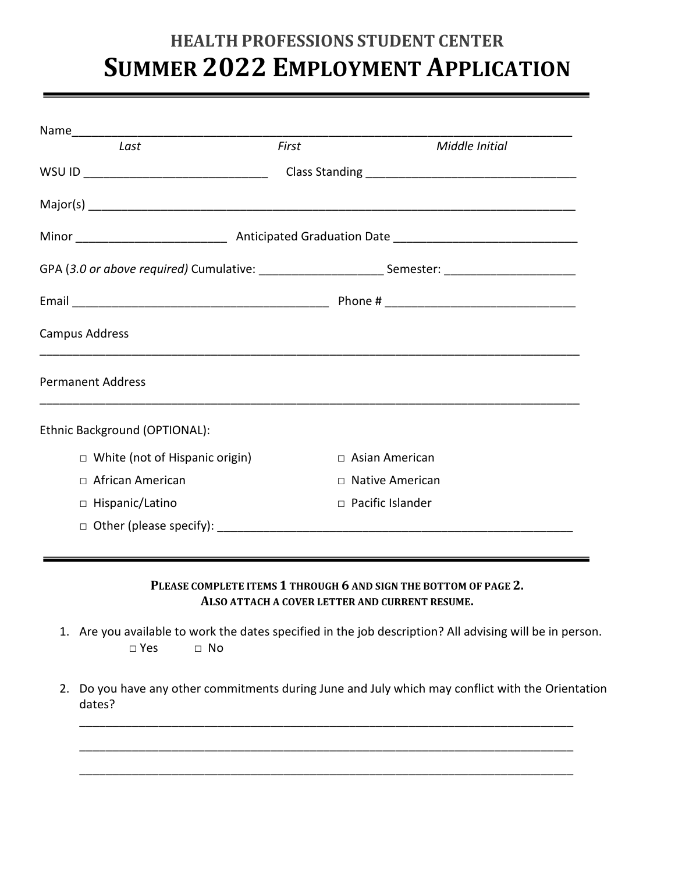## **HEALTH PROFESSIONS STUDENT CENTER SUMMER 2022 EMPLOYMENT APPLICATION**

| Last                                  | First                                                                                                | Middle Initial          |
|---------------------------------------|------------------------------------------------------------------------------------------------------|-------------------------|
|                                       |                                                                                                      |                         |
|                                       |                                                                                                      |                         |
|                                       |                                                                                                      |                         |
|                                       | GPA (3.0 or above required) Cumulative: ___________________________Semester: _______________________ |                         |
|                                       |                                                                                                      |                         |
| Campus Address                        |                                                                                                      |                         |
| <b>Permanent Address</b>              |                                                                                                      |                         |
| Ethnic Background (OPTIONAL):         |                                                                                                      |                         |
| $\Box$ White (not of Hispanic origin) |                                                                                                      | $\Box$ Asian American   |
| $\Box$ African American               |                                                                                                      | □ Native American       |
|                                       |                                                                                                      | $\Box$ Pacific Islander |
| □ Hispanic/Latino                     |                                                                                                      |                         |

**PLEASE COMPLETE ITEMS 1 THROUGH 6 AND SIGN THE BOTTOM OF PAGE 2. ALSO ATTACH A COVER LETTER AND CURRENT RESUME.**

- 1. Are you available to work the dates specified in the job description? All advising will be in person. □ Yes □ No
- 2. Do you have any other commitments during June and July which may conflict with the Orientation dates?

\_\_\_\_\_\_\_\_\_\_\_\_\_\_\_\_\_\_\_\_\_\_\_\_\_\_\_\_\_\_\_\_\_\_\_\_\_\_\_\_\_\_\_\_\_\_\_\_\_\_\_\_\_\_\_\_\_\_\_\_\_\_\_\_\_\_\_\_\_\_\_\_\_\_\_

\_\_\_\_\_\_\_\_\_\_\_\_\_\_\_\_\_\_\_\_\_\_\_\_\_\_\_\_\_\_\_\_\_\_\_\_\_\_\_\_\_\_\_\_\_\_\_\_\_\_\_\_\_\_\_\_\_\_\_\_\_\_\_\_\_\_\_\_\_\_\_\_\_\_\_

\_\_\_\_\_\_\_\_\_\_\_\_\_\_\_\_\_\_\_\_\_\_\_\_\_\_\_\_\_\_\_\_\_\_\_\_\_\_\_\_\_\_\_\_\_\_\_\_\_\_\_\_\_\_\_\_\_\_\_\_\_\_\_\_\_\_\_\_\_\_\_\_\_\_\_